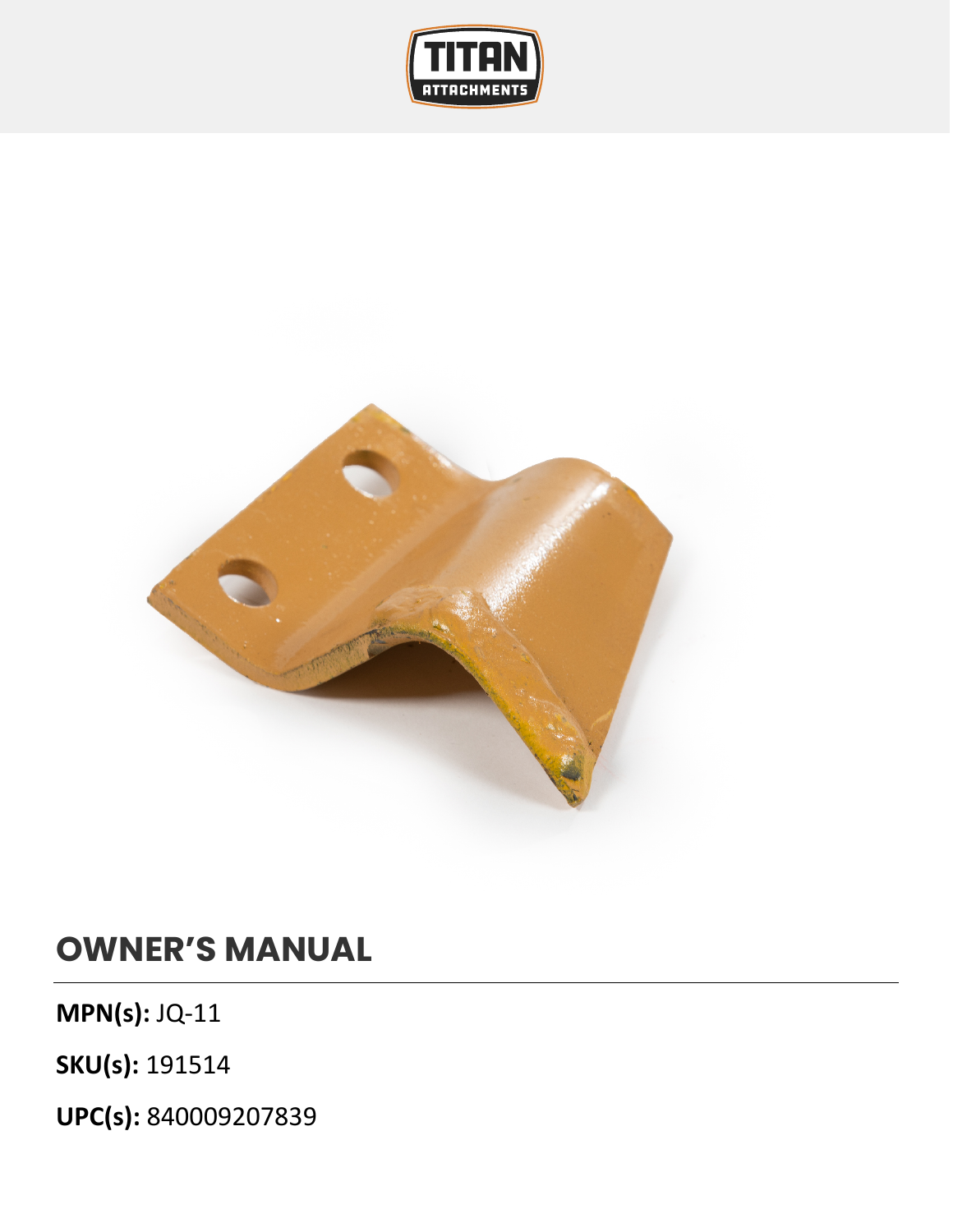



## **OWNER'S MANUAL**

**MPN(s):** JQ-11

**SKU(s):** 191514

**UPC(s):** 840009207839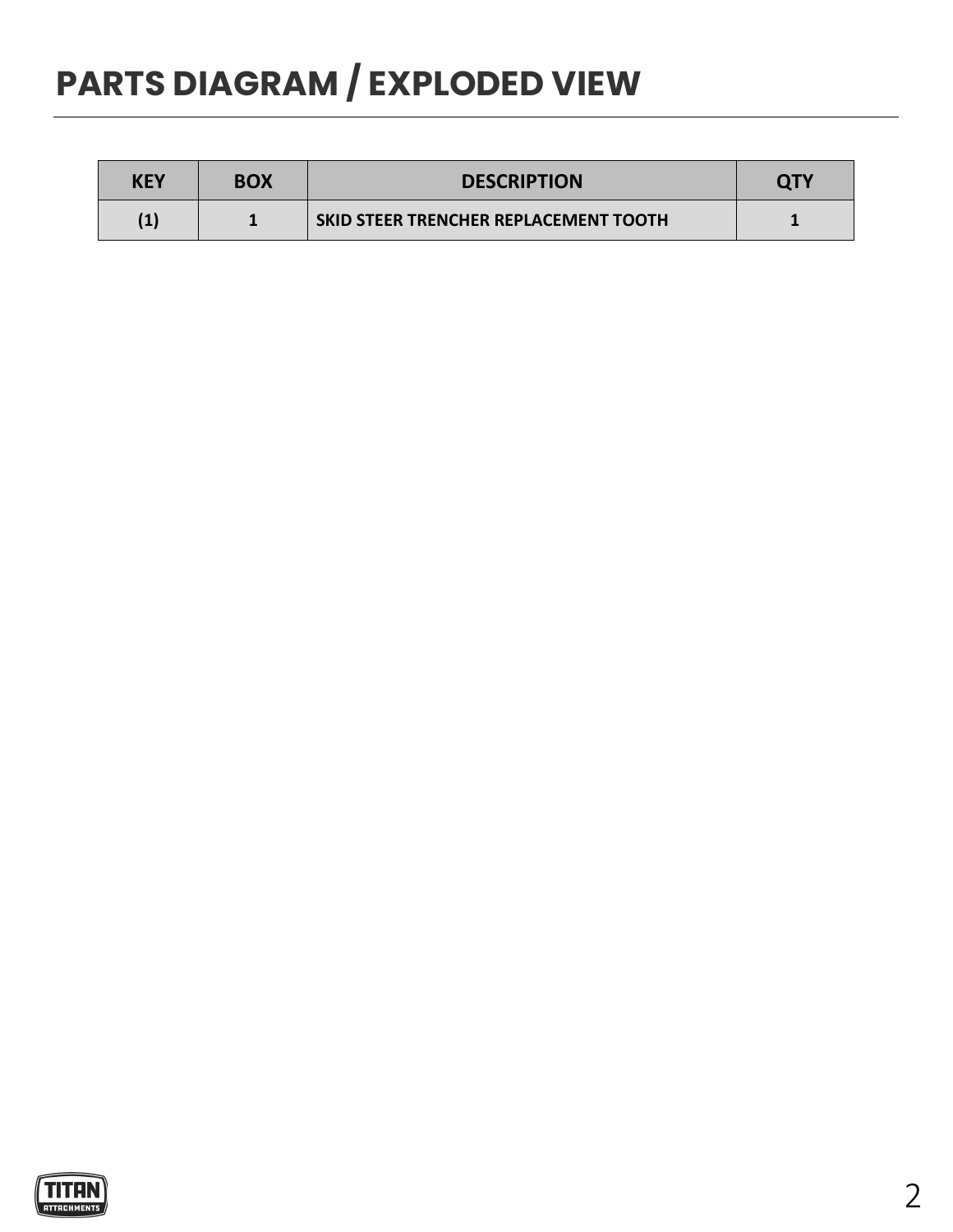## **PARTS DIAGRAM / EXPLODED VIEW**

| KEY      | <b>BOX</b> | <b>DESCRIPTION</b>                    | <b>QTY</b> |
|----------|------------|---------------------------------------|------------|
| $\bf(1)$ |            | SKID STEER TRENCHER REPLACEMENT TOOTH |            |